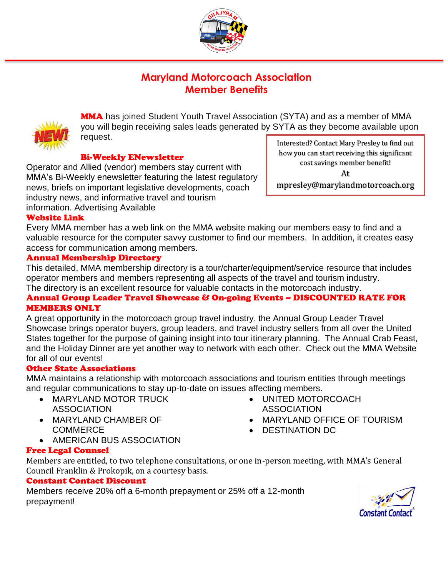

# **Maryland Motorcoach Association Member Benefits**



**MMA** has joined Student Youth Travel Association (SYTA) and as a member of MMA you will begin receiving sales leads generated by SYTA as they become available upon request.

# Bi-Weekly ENewsletter

Operator and Allied (vendor) members stay current with MMA's Bi-Weekly enewsletter featuring the latest regulatory news, briefs on important legislative developments, coach industry news, and informative travel and tourism information. Advertising Available

Interested? Contact Mary Presley to find out how you can start receiving this significant cost savings member benefit! At mpresley@marylandmotorcoach.org

# Website Link

Every MMA member has a web link on the MMA website making our members easy to find and a valuable resource for the computer savvy customer to find our members. In addition, it creates easy access for communication among members.

#### Annual Membership Directory

This detailed, MMA membership directory is a tour/charter/equipment/service resource that includes operator members and members representing all aspects of the travel and tourism industry. The directory is an excellent resource for valuable contacts in the motorcoach industry.

# Annual Group Leader Travel Showcase & On-going Events – DISCOUNTED RATE FOR MEMBERS ONLY

A great opportunity in the motorcoach group travel industry, the Annual Group Leader Travel Showcase brings operator buyers, group leaders, and travel industry sellers from all over the United States together for the purpose of gaining insight into tour itinerary planning. The Annual Crab Feast, and the Holiday Dinner are yet another way to network with each other. Check out the MMA Website for all of our events!

#### Other State Associations

MMA maintains a relationship with motorcoach associations and tourism entities through meetings and regular communications to stay up-to-date on issues affecting members.

- MARYLAND MOTOR TRUCK **ASSOCIATION**
- MARYLAND CHAMBER OF **COMMERCE**
- AMERICAN BUS ASSOCIATION
- UNITED MOTORCOACH **ASSOCIATION**
- MARYLAND OFFICE OF TOURISM
- DESTINATION DC

Free Legal Counsel

Members are entitled, to two telephone consultations, or one in-person meeting, with MMA's General Council Franklin & Prokopik, on a courtesy basis.

#### Constant Contact Discount

Members receive 20% off a 6-month prepayment or 25% off a 12-month prepayment!

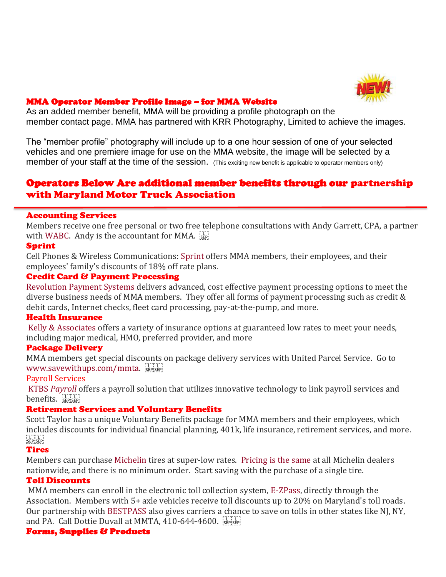

### MMA Operator Member Profile Image – for MMA Website

As an added member benefit, MMA will be providing a profile photograph on the member contact page. MMA has partnered with KRR Photography, Limited to achieve the images.

The "member profile" photography will include up to a one hour session of one of your selected vehicles and one premiere image for use on the MMA website, the image will be selected by a member of your staff at the time of the session. (This exciting new benefit is applicable to operator members only)

# Operators Below Are additional member benefits through our partnership with Maryland Motor Truck Association

#### Accounting Services

Members receive one free personal or two free telephone consultations with Andy Garrett, CPA, a partner with [WABC.](http://www.wabccpas.com/) Andy is the accountant for MMA.  $\frac{1}{15}$ 

#### Sprint

Cell Phones & Wireless Communications: [Sprint](http://www.sprint.com/mmtamembers) offers MMA members, their employees, and their employees' family's discounts of 18% off rate plans.

#### Credit Card & Payment Processing

[Revolution Payment Systems](http://www.mmtasavings.com/) delivers advanced, cost effective payment processing options to meet the diverse business needs of MMA members. They offer all forms of payment processing such as credit & debit cards, Internet checks, fleet card processing, pay-at-the-pump, and more.

#### Health Insurance

[Kelly & Associates](http://www.kaig.com/) offers a variety of insurance options at guaranteed low rates to meet your needs, including major medical, HMO, preferred provider, and more

#### Package Delivery

MMA members get special discounts on package delivery services with United Parcel Service. Go to [www.savewithups.com/mmta.](http://www.savewithups.com/mmta)

#### Payroll Services

KTBS *[Payroll](http://www.ktbspayroll.com/)* offers a payroll solution that utilizes innovative technology to link payroll services and benefits. SEPISEP

#### Retirement Services and Voluntary Benefits

Scott Taylor has a unique Voluntary Benefits package for MMA members and their employees, which includes discounts for individual financial planning, 401k, life insurance, retirement services, and more. FIFTIT<br>!SEP!SEP!

#### Tires

Members can purchase [Michelin](http://media.dhweb.com/mmta/michelinad.pdf) tires at super-low rates. [Pricing is the same](http://www.mmtanet.com/pdfs/pricelist.pdf) at all Michelin dealers nationwide, and there is no minimum order. Start saving with the purchase of a single tire.

#### Toll Discounts

MMA members can enroll in the electronic toll collection system, [E-ZPass,](http://www.mmtanet.com/pdfs/MMTA_EZ_Pass_Terms_&_Conditions.pdf) directly through the Association. Members with 5+ axle vehicles receive toll discounts up to 20% on Maryland's toll roads. Our partnership with [BESTPASS](http://www.bestpass.com/) also gives carriers a chance to save on tolls in other states like NJ, NY, and PA. Call Dottie Duvall at MMTA, 410-644-4600.

#### Forms, Supplies & Products